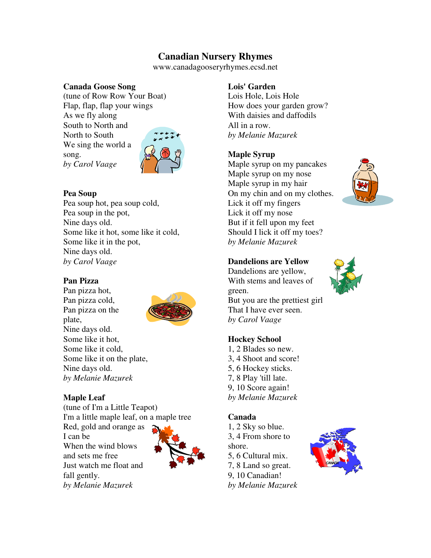# **Canadian Nursery Rhymes**

www.canadagooseryrhymes.ecsd.net

## **Canada Goose Song**

(tune of Row Row Your Boat) Flap, flap, flap your wings As we fly along South to North and North to South We sing the world a song. *by Carol Vaage* 



## **Pea Soup**

Pea soup hot, pea soup cold, Pea soup in the pot, Nine days old. Some like it hot, some like it cold, Some like it in the pot, Nine days old. *by Carol Vaage* 

## **Pan Pizza**

Pan pizza hot, Pan pizza cold, Pan pizza on the plate, Nine days old. Some like it hot, Some like it cold, Some like it on the plate, Nine days old. *by Melanie Mazurek* 



## **Maple Leaf**

(tune of I'm a Little Teapot) I'm a little maple leaf, on a maple tree

Red, gold and orange as I can be When the wind blows and sets me free Just watch me float and fall gently. *by Melanie Mazurek* 



## **Lois' Garden**

Lois Hole, Lois Hole How does your garden grow? With daisies and daffodils All in a row. *by Melanie Mazurek* 

## **Maple Syrup**

Maple syrup on my pancakes Maple syrup on my nose Maple syrup in my hair On my chin and on my clothes. Lick it off my fingers Lick it off my nose But if it fell upon my feet Should I lick it off my toes? *by Melanie Mazurek* 





Dandelions are yellow, With stems and leaves of green. But you are the prettiest girl That I have ever seen. *by Carol Vaage* 

**Dandelions are Yellow** 

## **Hockey School**

1, 2 Blades so new. 3, 4 Shoot and score! 5, 6 Hockey sticks. 7, 8 Play 'till late. 9, 10 Score again! *by Melanie Mazurek* 

## **Canada**

1, 2 Sky so blue. 3, 4 From shore to shore. 5, 6 Cultural mix. 7, 8 Land so great. 9, 10 Canadian! *by Melanie Mazurek* 

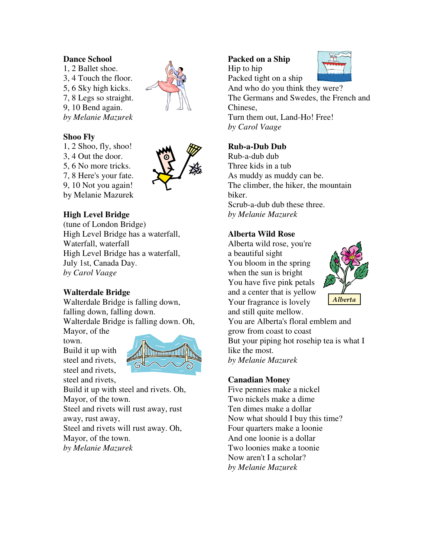#### **Dance School**

1, 2 Ballet shoe. 3, 4 Touch the floor. 5, 6 Sky high kicks. 7, 8 Legs so straight. 9, 10 Bend again. *by Melanie Mazurek* 



#### **Shoo Fly**

- 1, 2 Shoo, fly, shoo!
- 3, 4 Out the door.
- 5, 6 No more tricks.
- 7, 8 Here's your fate.
- 9, 10 Not you again!
- by Melanie Mazurek



#### **High Level Bridge**

(tune of London Bridge) High Level Bridge has a waterfall, Waterfall, waterfall High Level Bridge has a waterfall, July 1st, Canada Day. *by Carol Vaage* 

#### **Walterdale Bridge**

Walterdale Bridge is falling down, falling down, falling down. Walterdale Bridge is falling down. Oh,

Mayor, of the town.

Build it up with steel and rivets, steel and rivets, steel and rivets,



Build it up with steel and rivets. Oh, Mayor, of the town. Steel and rivets will rust away, rust away, rust away, Steel and rivets will rust away. Oh, Mayor, of the town. *by Melanie Mazurek* 

#### **Packed on a Ship**  Hip to hip Packed tight on a ship



And who do you think they were? The Germans and Swedes, the French and Chinese, Turn them out, Land-Ho! Free! *by Carol Vaage* 

#### **Rub-a-Dub Dub**

Rub-a-dub dub Three kids in a tub As muddy as muddy can be. The climber, the hiker, the mountain biker. Scrub-a-dub dub these three. *by Melanie Mazurek*

#### **Alberta Wild Rose**

Alberta wild rose, you're a beautiful sight You bloom in the spring when the sun is bright You have five pink petals and a center that is yellow Your fragrance is lovely and still quite mellow.



You are Alberta's floral emblem and grow from coast to coast But your piping hot rosehip tea is what I like the most. *by Melanie Mazurek* 

#### **Canadian Money**

Five pennies make a nickel Two nickels make a dime Ten dimes make a dollar Now what should I buy this time? Four quarters make a loonie And one loonie is a dollar Two loonies make a toonie Now aren't I a scholar? *by Melanie Mazurek*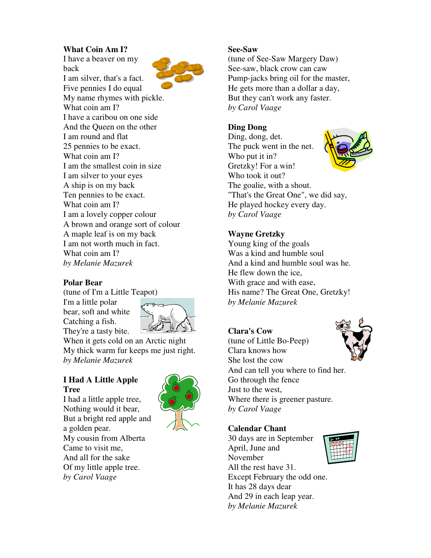**What Coin Am I?**  I have a beaver on my back I am silver, that's a fact. Five pennies I do equal My name rhymes with pickle. What coin am I? I have a caribou on one side And the Queen on the other I am round and flat 25 pennies to be exact. What coin am I? I am the smallest coin in size I am silver to your eyes A ship is on my back Ten pennies to be exact. What coin am I? I am a lovely copper colour A brown and orange sort of colour

A maple leaf is on my back I am not worth much in fact. What coin am I? *by Melanie Mazurek* 

## **Polar Bear**

(tune of I'm a Little Teapot) I'm a little polar

bear, soft and white Catching a fish. They're a tasty bite.



When it gets cold on an Arctic night My thick warm fur keeps me just right. *by Melanie Mazurek* 

## **I Had A Little Apple Tree**

I had a little apple tree, Nothing would it bear, But a bright red apple and a golden pear. My cousin from Alberta Came to visit me, And all for the sake Of my little apple tree. *by Carol Vaage* 



#### **See-Saw**

(tune of See-Saw Margery Daw) See-saw, black crow can caw Pump-jacks bring oil for the master, He gets more than a dollar a day, But they can't work any faster. *by Carol Vaage* 

## **Ding Dong**

Ding, dong, det. The puck went in the net. Who put it in? Gretzky! For a win! Who took it out? The goalie, with a shout. "That's the Great One", we did say, He played hockey every day. *by Carol Vaage* 



Young king of the goals Was a kind and humble soul And a kind and humble soul was he. He flew down the ice, With grace and with ease, His name? The Great One, Gretzky! *by Melanie Mazurek* 

## **Clara's Cow**

(tune of Little Bo-Peep) Clara knows how She lost the cow And can tell you where to find her. Go through the fence Just to the west, Where there is greener pasture. *by Carol Vaage* 

#### **Calendar Chant**

30 days are in September April, June and November All the rest have 31. Except February the odd one. It has 28 days dear And 29 in each leap year. *by Melanie Mazurek* 



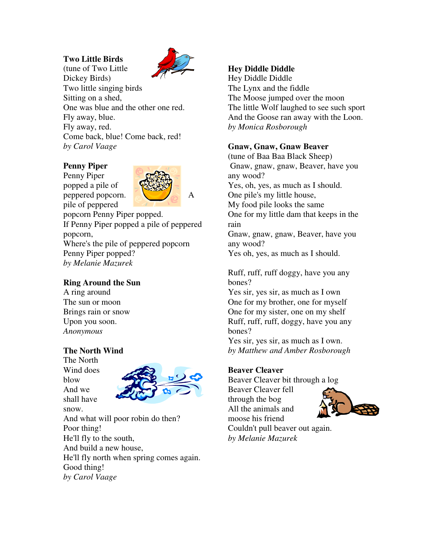## **Two Little Birds**



(tune of Two Little Dickey Birds) Two little singing birds Sitting on a shed, One was blue and the other one red. Fly away, blue. Fly away, red. Come back, blue! Come back, red! *by Carol Vaage* 

### **Penny Piper**

Penny Piper popped a pile of peppered popcorn. A pile of peppered



popcorn Penny Piper popped. If Penny Piper popped a pile of peppered popcorn, Where's the pile of peppered popcorn Penny Piper popped? *by Melanie Mazurek* 

## **Ring Around the Sun**

A ring around The sun or moon Brings rain or snow Upon you soon. *Anonymous* 

## **The North Wind**

The North Wind does blow And we shall have snow.



And what will poor robin do then? Poor thing! He'll fly to the south, And build a new house, He'll fly north when spring comes again. Good thing! *by Carol Vaage* 

## **Hey Diddle Diddle**

Hey Diddle Diddle The Lynx and the fiddle The Moose jumped over the moon The little Wolf laughed to see such sport And the Goose ran away with the Loon. *by Monica Rosborough* 

## **Gnaw, Gnaw, Gnaw Beaver**

(tune of Baa Baa Black Sheep) Gnaw, gnaw, gnaw, Beaver, have you any wood? Yes, oh, yes, as much as I should. One pile's my little house, My food pile looks the same One for my little dam that keeps in the rain Gnaw, gnaw, gnaw, Beaver, have you any wood? Yes oh, yes, as much as I should. Ruff, ruff, ruff doggy, have you any bones?

Yes sir, yes sir, as much as I own One for my brother, one for myself One for my sister, one on my shelf Ruff, ruff, ruff, doggy, have you any bones?

Yes sir, yes sir, as much as I own. *by Matthew and Amber Rosborough* 

## **Beaver Cleaver**

Beaver Cleaver bit through a log

Beaver Cleaver fell through the bog All the animals and moose his friend



Couldn't pull beaver out again. *by Melanie Mazurek*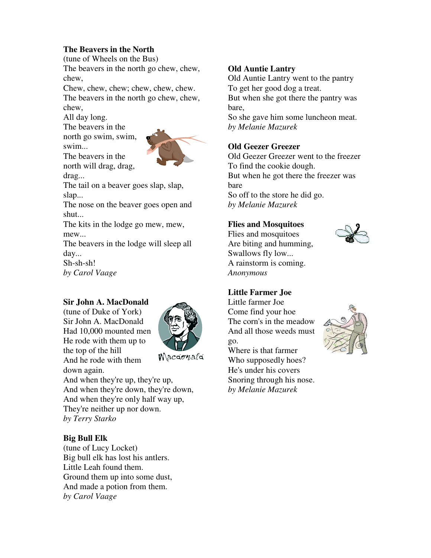## **The Beavers in the North**

(tune of Wheels on the Bus)

The beavers in the north go chew, chew, chew,

Chew, chew, chew; chew, chew, chew. The beavers in the north go chew, chew, chew,

All day long.

The beavers in the north go swim, swim, swim...



The beavers in the north will drag, drag, drag...

The tail on a beaver goes slap, slap, slap...

The nose on the beaver goes open and shut...

The kits in the lodge go mew, mew, mew...

The beavers in the lodge will sleep all day...

Sh-sh-sh!

*by Carol Vaage* 

## **Sir John A. MacDonald**

(tune of Duke of York) Sir John A. MacDonald Had 10,000 mounted men He rode with them up to the top of the hill And he rode with them down again.





And when they're up, they're up, And when they're down, they're down, And when they're only half way up, They're neither up nor down. *by Terry Starko* 

## **Big Bull Elk**

(tune of Lucy Locket) Big bull elk has lost his antlers. Little Leah found them. Ground them up into some dust, And made a potion from them. *by Carol Vaage* 

# **Old Auntie Lantry**

Old Auntie Lantry went to the pantry To get her good dog a treat.

But when she got there the pantry was bare,

So she gave him some luncheon meat. *by Melanie Mazurek* 

## **Old Geezer Greezer**

Old Geezer Greezer went to the freezer To find the cookie dough. But when he got there the freezer was bare So off to the store he did go.

*by Melanie Mazurek* 

## **Flies and Mosquitoes**

Flies and mosquitoes Are biting and humming, Swallows fly low... A rainstorm is coming. *Anonymous*



## **Little Farmer Joe**

Little farmer Joe Come find your hoe The corn's in the meadow And all those weeds must go. Where is that farmer Who supposedly hoes? He's under his covers Snoring through his nose. *by Melanie Mazurek*